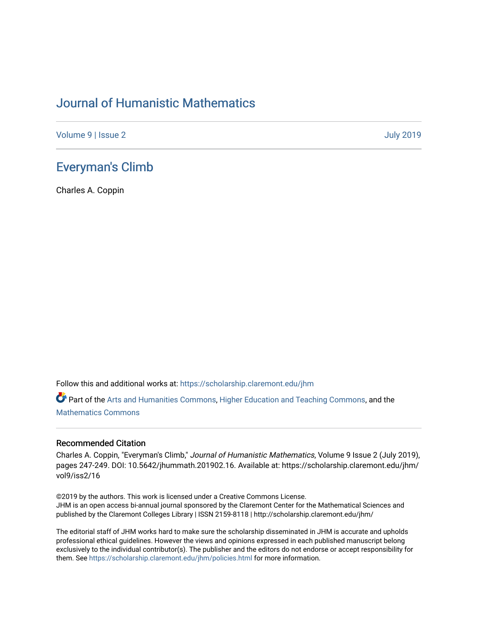## [Journal of Humanistic Mathematics](https://scholarship.claremont.edu/jhm)

[Volume 9](https://scholarship.claremont.edu/jhm/vol9) | [Issue 2](https://scholarship.claremont.edu/jhm/vol9/iss2) [July 2019](https://scholarship.claremont.edu/jhm/vol9/iss2) 

### [Everyman's Climb](https://scholarship.claremont.edu/jhm/vol9/iss2/16)

Charles A. Coppin

Follow this and additional works at: [https://scholarship.claremont.edu/jhm](https://scholarship.claremont.edu/jhm?utm_source=scholarship.claremont.edu%2Fjhm%2Fvol9%2Fiss2%2F16&utm_medium=PDF&utm_campaign=PDFCoverPages)

Part of the [Arts and Humanities Commons,](http://network.bepress.com/hgg/discipline/438?utm_source=scholarship.claremont.edu%2Fjhm%2Fvol9%2Fiss2%2F16&utm_medium=PDF&utm_campaign=PDFCoverPages) [Higher Education and Teaching Commons](http://network.bepress.com/hgg/discipline/806?utm_source=scholarship.claremont.edu%2Fjhm%2Fvol9%2Fiss2%2F16&utm_medium=PDF&utm_campaign=PDFCoverPages), and the [Mathematics Commons](http://network.bepress.com/hgg/discipline/174?utm_source=scholarship.claremont.edu%2Fjhm%2Fvol9%2Fiss2%2F16&utm_medium=PDF&utm_campaign=PDFCoverPages)

#### Recommended Citation

Charles A. Coppin, "Everyman's Climb," Journal of Humanistic Mathematics, Volume 9 Issue 2 (July 2019), pages 247-249. DOI: 10.5642/jhummath.201902.16. Available at: https://scholarship.claremont.edu/jhm/ vol9/iss2/16

©2019 by the authors. This work is licensed under a Creative Commons License. JHM is an open access bi-annual journal sponsored by the Claremont Center for the Mathematical Sciences and published by the Claremont Colleges Library | ISSN 2159-8118 | http://scholarship.claremont.edu/jhm/

The editorial staff of JHM works hard to make sure the scholarship disseminated in JHM is accurate and upholds professional ethical guidelines. However the views and opinions expressed in each published manuscript belong exclusively to the individual contributor(s). The publisher and the editors do not endorse or accept responsibility for them. See<https://scholarship.claremont.edu/jhm/policies.html> for more information.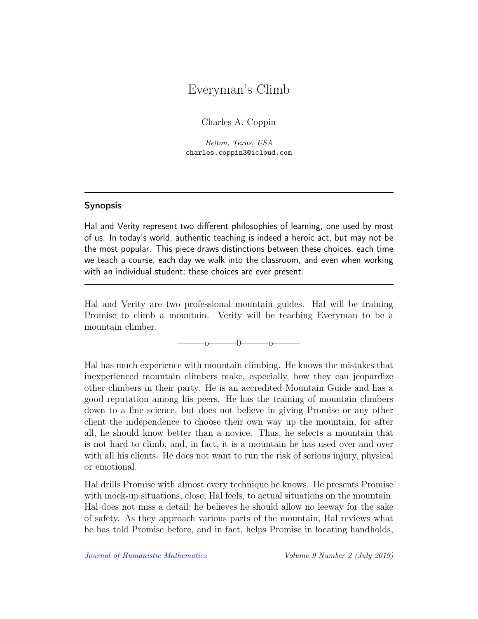# Everyman's Climb

Charles A. Coppin

Belton, Texas, USA charles.coppin3@icloud.com

### Synopsis

Hal and Verity represent two different philosophies of learning, one used by most of us. In today's world, authentic teaching is indeed a heroic act, but may not be the most popular. This piece draws distinctions between these choices, each time we teach a course, each day we walk into the classroom, and even when working with an individual student; these choices are ever present.

Hal and Verity are two professional mountain guides. Hal will be training Promise to climb a mountain. Verity will be teaching Everyman to be a mountain climber.

 $\sim$  0 0 0

Hal has much experience with mountain climbing. He knows the mistakes that inexperienced mountain climbers make, especially, how they can jeopardize other climbers in their party. He is an accredited Mountain Guide and has a good reputation among his peers. He has the training of mountain climbers down to a fine science, but does not believe in giving Promise or any other client the independence to choose their own way up the mountain, for after all, he should know better than a novice. Thus, he selects a mountain that is not hard to climb, and, in fact, it is a mountain he has used over and over with all his clients. He does not want to run the risk of serious injury, physical or emotional.

Hal drills Promise with almost every technique he knows. He presents Promise with mock-up situations, close, Hal feels, to actual situations on the mountain. Hal does not miss a detail; he believes he should allow no leeway for the sake of safety. As they approach various parts of the mountain, Hal reviews what he has told Promise before, and in fact, helps Promise in locating handholds,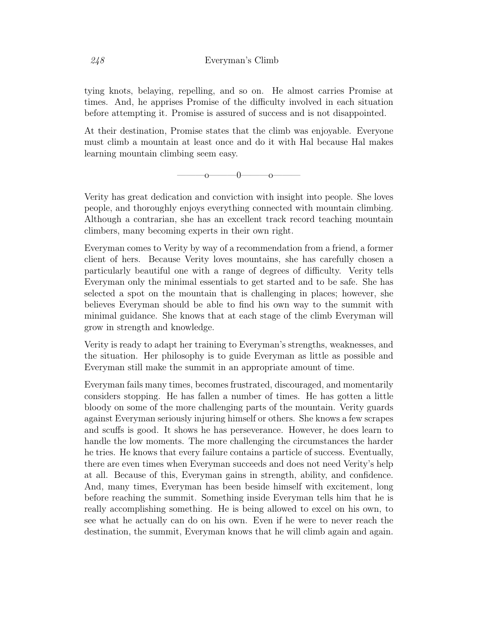tying knots, belaying, repelling, and so on. He almost carries Promise at times. And, he apprises Promise of the difficulty involved in each situation before attempting it. Promise is assured of success and is not disappointed.

At their destination, Promise states that the climb was enjoyable. Everyone must climb a mountain at least once and do it with Hal because Hal makes learning mountain climbing seem easy.

 $\overline{\phantom{a_{0}}\phantom{a_{0}}\phantom{a_{0}}\phantom{a_{0}}\phantom{a_{0}}\phantom{a_{0}}}}_{0}$ 

Verity has great dedication and conviction with insight into people. She loves people, and thoroughly enjoys everything connected with mountain climbing. Although a contrarian, she has an excellent track record teaching mountain climbers, many becoming experts in their own right.

Everyman comes to Verity by way of a recommendation from a friend, a former client of hers. Because Verity loves mountains, she has carefully chosen a particularly beautiful one with a range of degrees of difficulty. Verity tells Everyman only the minimal essentials to get started and to be safe. She has selected a spot on the mountain that is challenging in places; however, she believes Everyman should be able to find his own way to the summit with minimal guidance. She knows that at each stage of the climb Everyman will grow in strength and knowledge.

Verity is ready to adapt her training to Everyman's strengths, weaknesses, and the situation. Her philosophy is to guide Everyman as little as possible and Everyman still make the summit in an appropriate amount of time.

Everyman fails many times, becomes frustrated, discouraged, and momentarily considers stopping. He has fallen a number of times. He has gotten a little bloody on some of the more challenging parts of the mountain. Verity guards against Everyman seriously injuring himself or others. She knows a few scrapes and scuffs is good. It shows he has perseverance. However, he does learn to handle the low moments. The more challenging the circumstances the harder he tries. He knows that every failure contains a particle of success. Eventually, there are even times when Everyman succeeds and does not need Verity's help at all. Because of this, Everyman gains in strength, ability, and confidence. And, many times, Everyman has been beside himself with excitement, long before reaching the summit. Something inside Everyman tells him that he is really accomplishing something. He is being allowed to excel on his own, to see what he actually can do on his own. Even if he were to never reach the destination, the summit, Everyman knows that he will climb again and again.